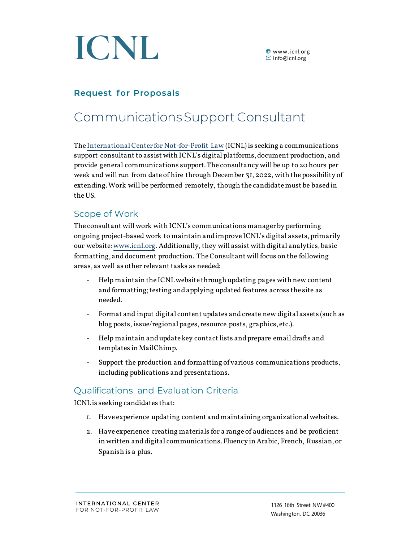

# **Request for Proposals**

# Communications Support Consultant

Th[e International Center for Not-for-Profit Law](https://www.icnl.org/about-us) (ICNL) is seeking a communications support consultant to assist with ICNL's digital platforms, document production, and provide general communications support. The consultancy will be up to 20 hours per week and will run from date of hire through December 31, 2022, with the possibility of extending. Work will be performed remotely, though the candidate must be based in the US.

### Scope of Work

The consultant will work with ICNL's communications manager by performing ongoing project-based work to maintain and improve ICNL's digital assets, primarily our website[: www.icnl.org.](http://www.icnl.org/) Additionally, they will assist with digital analytics, basic formatting, and document production. The Consultant will focus on the following areas, as well as other relevant tasks as needed:

- Help maintain the ICNLwebsite through updating pages with new content and formatting; testing and applying updated features across the site as needed.
- Format and input digital content updates and create new digital assets (such as blog posts, issue/regional pages, resource posts, graphics, etc.).
- Help maintain and update key contact lists and prepare email drafts and templates in MailChimp.
- Support the production and formatting of various communications products, including publications and presentations.

## Qualifications and Evaluation Criteria

ICNL is seeking candidates that:

- 1. Have experience updating content and maintaining organizational websites.
- 2. Have experience creating materials for a range of audiences and be proficient in written and digital communications. Fluency in Arabic, French, Russian,or Spanish is a plus.